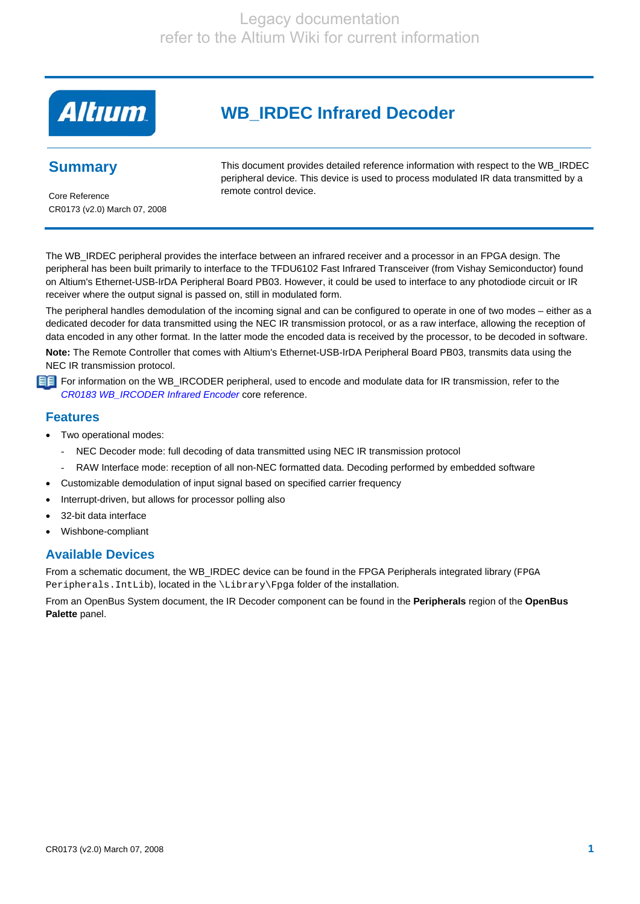# **Altıum**

# **WB\_IRDEC Infrared Decoder**

# **Summary**

This document provides detailed reference information with respect to the WB\_IRDEC peripheral device. This device is used to process modulated IR data transmitted by a remote control device.

Core Reference CR0173 (v2.0) March 07, 2008

The WB\_IRDEC peripheral provides the interface between an infrared receiver and a processor in an FPGA design. The peripheral has been built primarily to interface to the TFDU6102 Fast Infrared Transceiver (from Vishay Semiconductor) found on Altium's Ethernet-USB-IrDA Peripheral Board PB03. However, it could be used to interface to any photodiode circuit or IR receiver where the output signal is passed on, still in modulated form.

The peripheral handles demodulation of the incoming signal and can be configured to operate in one of two modes – either as a dedicated decoder for data transmitted using the NEC IR transmission protocol, or as a raw interface, allowing the reception of data encoded in any other format. In the latter mode the encoded data is received by the processor, to be decoded in software.

**Note:** The Remote Controller that comes with Altium's Ethernet-USB-IrDA Peripheral Board PB03, transmits data using the NEC IR transmission protocol.

**FF** For information on the WB\_IRCODER peripheral, used to encode and modulate data for IR transmission, refer to the *CR0183 WB\_IRCODER Infrared Encoder* core reference.

#### **Features**

- Two operational modes:
	- NEC Decoder mode: full decoding of data transmitted using NEC IR transmission protocol
	- RAW Interface mode: reception of all non-NEC formatted data. Decoding performed by embedded software
- Customizable demodulation of input signal based on specified carrier frequency
- Interrupt-driven, but allows for processor polling also
- 32-bit data interface
- Wishbone-compliant

### **Available Devices**

From a schematic document, the WB\_IRDEC device can be found in the FPGA Peripherals integrated library (FPGA Peripherals. IntLib), located in the \Library\Fpga folder of the installation.

From an OpenBus System document, the IR Decoder component can be found in the **Peripherals** region of the **OpenBus Palette** panel.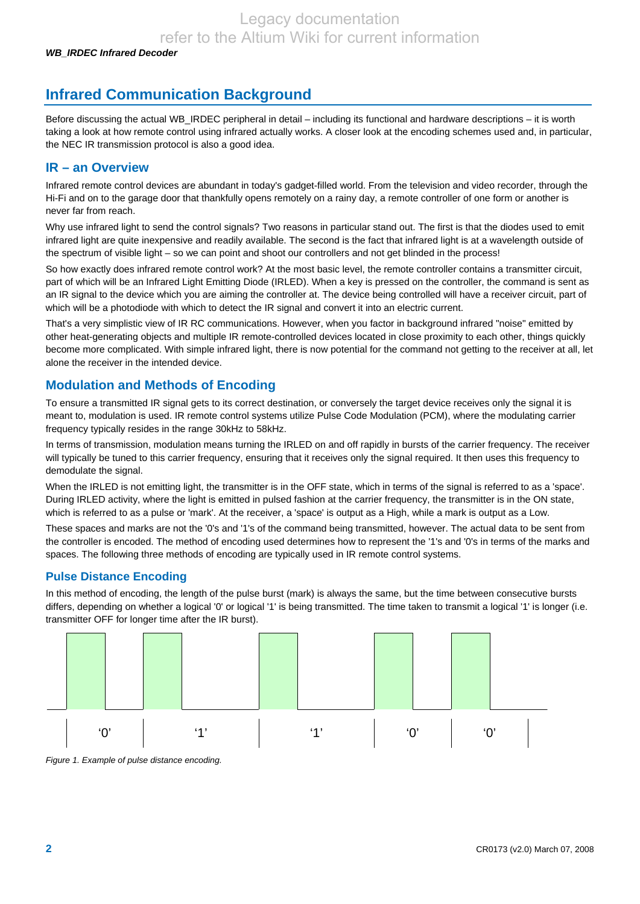# **Infrared Communication Background**

Before discussing the actual WB\_IRDEC peripheral in detail – including its functional and hardware descriptions – it is worth taking a look at how remote control using infrared actually works. A closer look at the encoding schemes used and, in particular, the NEC IR transmission protocol is also a good idea.

#### **IR – an Overview**

Infrared remote control devices are abundant in today's gadget-filled world. From the television and video recorder, through the Hi-Fi and on to the garage door that thankfully opens remotely on a rainy day, a remote controller of one form or another is never far from reach.

Why use infrared light to send the control signals? Two reasons in particular stand out. The first is that the diodes used to emit infrared light are quite inexpensive and readily available. The second is the fact that infrared light is at a wavelength outside of the spectrum of visible light – so we can point and shoot our controllers and not get blinded in the process!

So how exactly does infrared remote control work? At the most basic level, the remote controller contains a transmitter circuit, part of which will be an Infrared Light Emitting Diode (IRLED). When a key is pressed on the controller, the command is sent as an IR signal to the device which you are aiming the controller at. The device being controlled will have a receiver circuit, part of which will be a photodiode with which to detect the IR signal and convert it into an electric current.

That's a very simplistic view of IR RC communications. However, when you factor in background infrared "noise" emitted by other heat-generating objects and multiple IR remote-controlled devices located in close proximity to each other, things quickly become more complicated. With simple infrared light, there is now potential for the command not getting to the receiver at all, let alone the receiver in the intended device.

#### **Modulation and Methods of Encoding**

To ensure a transmitted IR signal gets to its correct destination, or conversely the target device receives only the signal it is meant to, modulation is used. IR remote control systems utilize Pulse Code Modulation (PCM), where the modulating carrier frequency typically resides in the range 30kHz to 58kHz.

In terms of transmission, modulation means turning the IRLED on and off rapidly in bursts of the carrier frequency. The receiver will typically be tuned to this carrier frequency, ensuring that it receives only the signal required. It then uses this frequency to demodulate the signal.

When the IRLED is not emitting light, the transmitter is in the OFF state, which in terms of the signal is referred to as a 'space'. During IRLED activity, where the light is emitted in pulsed fashion at the carrier frequency, the transmitter is in the ON state, which is referred to as a pulse or 'mark'. At the receiver, a 'space' is output as a High, while a mark is output as a Low.

These spaces and marks are not the '0's and '1's of the command being transmitted, however. The actual data to be sent from the controller is encoded. The method of encoding used determines how to represent the '1's and '0's in terms of the marks and spaces. The following three methods of encoding are typically used in IR remote control systems.

#### **Pulse Distance Encoding**

In this method of encoding, the length of the pulse burst (mark) is always the same, but the time between consecutive bursts differs, depending on whether a logical '0' or logical '1' is being transmitted. The time taken to transmit a logical '1' is longer (i.e. transmitter OFF for longer time after the IR burst).



*Figure 1. Example of pulse distance encoding.*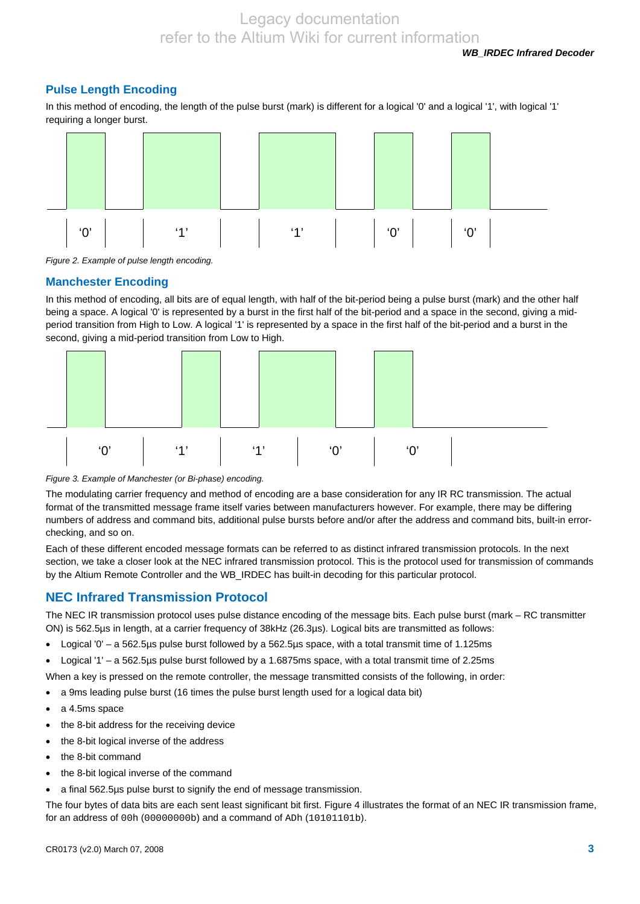*WB\_IRDEC Infrared Decoder* 

#### **Pulse Length Encoding**

In this method of encoding, the length of the pulse burst (mark) is different for a logical '0' and a logical '1', with logical '1' requiring a longer burst.



*Figure 2. Example of pulse length encoding.* 

#### **Manchester Encoding**

In this method of encoding, all bits are of equal length, with half of the bit-period being a pulse burst (mark) and the other half being a space. A logical '0' is represented by a burst in the first half of the bit-period and a space in the second, giving a midperiod transition from High to Low. A logical '1' is represented by a space in the first half of the bit-period and a burst in the second, giving a mid-period transition from Low to High.



#### *Figure 3. Example of Manchester (or Bi-phase) encoding.*

The modulating carrier frequency and method of encoding are a base consideration for any IR RC transmission. The actual format of the transmitted message frame itself varies between manufacturers however. For example, there may be differing numbers of address and command bits, additional pulse bursts before and/or after the address and command bits, built-in errorchecking, and so on.

Each of these different encoded message formats can be referred to as distinct infrared transmission protocols. In the next section, we take a closer look at the NEC infrared transmission protocol. This is the protocol used for transmission of commands by the Altium Remote Controller and the WB\_IRDEC has built-in decoding for this particular protocol.

#### **NEC Infrared Transmission Protocol**

The NEC IR transmission protocol uses pulse distance encoding of the message bits. Each pulse burst (mark – RC transmitter ON) is 562.5µs in length, at a carrier frequency of 38kHz (26.3µs). Logical bits are transmitted as follows:

- Logical '0' a 562.5µs pulse burst followed by a 562.5µs space, with a total transmit time of 1.125ms
- Logical '1' a 562.5µs pulse burst followed by a 1.6875ms space, with a total transmit time of 2.25ms
- When a key is pressed on the remote controller, the message transmitted consists of the following, in order:
- a 9ms leading pulse burst (16 times the pulse burst length used for a logical data bit)
- a 4.5ms space
- the 8-bit address for the receiving device
- the 8-bit logical inverse of the address
- the 8-bit command
- the 8-bit logical inverse of the command
- a final 562.5µs pulse burst to signify the end of message transmission.

The four bytes of data bits are each sent least significant bit first. Figure 4 illustrates the format of an NEC IR transmission frame, for an address of 00h (00000000b) and a command of ADh (10101101b).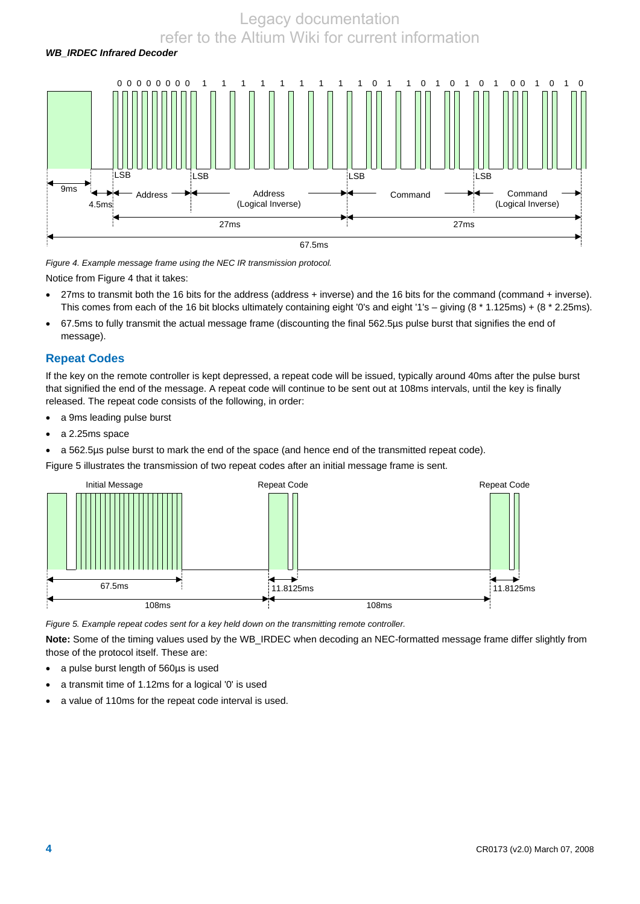# *WB\_IRDEC Infrared Decoder*  0 0 0 0 0 0 0 0 1 1 1 1 1 1 1 1 1 0 1 1 0 1 0 1 0 1 0 0 1 0 1 0 9ms 4.5ms LSB LSB LSB LSB Command (Logical Inverse) Address Address (Logical Inverse) Command 27ms 27ms 67.5ms

*Figure 4. Example message frame using the NEC IR transmission protocol.* 

Notice from Figure 4 that it takes:

- 27ms to transmit both the 16 bits for the address (address + inverse) and the 16 bits for the command (command + inverse). This comes from each of the 16 bit blocks ultimately containing eight '0's and eight '1's – giving (8 \* 1.125ms) + (8 \* 2.25ms).
- 67.5ms to fully transmit the actual message frame (discounting the final 562.5µs pulse burst that signifies the end of message).

#### **Repeat Codes**

If the key on the remote controller is kept depressed, a repeat code will be issued, typically around 40ms after the pulse burst that signified the end of the message. A repeat code will continue to be sent out at 108ms intervals, until the key is finally released. The repeat code consists of the following, in order:

- a 9ms leading pulse burst
- a 2.25ms space

• a 562.5µs pulse burst to mark the end of the space (and hence end of the transmitted repeat code).

Figure 5 illustrates the transmission of two repeat codes after an initial message frame is sent.



*Figure 5. Example repeat codes sent for a key held down on the transmitting remote controller.* 

**Note:** Some of the timing values used by the WB\_IRDEC when decoding an NEC-formatted message frame differ slightly from those of the protocol itself. These are:

- a pulse burst length of 560µs is used
- a transmit time of 1.12ms for a logical '0' is used
- a value of 110ms for the repeat code interval is used.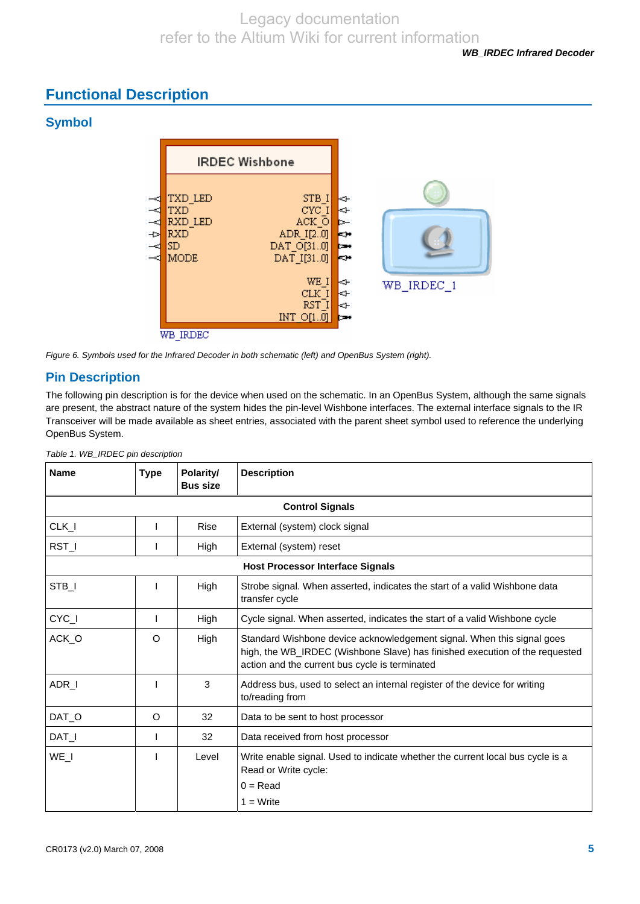# **Functional Description**

## **Symbol**





### **Pin Description**

The following pin description is for the device when used on the schematic. In an OpenBus System, although the same signals are present, the abstract nature of the system hides the pin-level Wishbone interfaces. The external interface signals to the IR Transceiver will be made available as sheet entries, associated with the parent sheet symbol used to reference the underlying OpenBus System.

| <b>Name</b> | <b>Type</b> | Polarity/<br><b>Bus size</b> | <b>Description</b>                                                                                                                                                                                      |
|-------------|-------------|------------------------------|---------------------------------------------------------------------------------------------------------------------------------------------------------------------------------------------------------|
|             |             |                              | <b>Control Signals</b>                                                                                                                                                                                  |
| CLK_I       |             | Rise                         | External (system) clock signal                                                                                                                                                                          |
| RST_I       |             | High                         | External (system) reset                                                                                                                                                                                 |
|             |             |                              | <b>Host Processor Interface Signals</b>                                                                                                                                                                 |
| STB_I       |             | High                         | Strobe signal. When asserted, indicates the start of a valid Wishbone data<br>transfer cycle                                                                                                            |
| CYC_I       |             | High                         | Cycle signal. When asserted, indicates the start of a valid Wishbone cycle                                                                                                                              |
| ACK_O       | O           | High                         | Standard Wishbone device acknowledgement signal. When this signal goes<br>high, the WB_IRDEC (Wishbone Slave) has finished execution of the requested<br>action and the current bus cycle is terminated |
| ADR_I       |             | 3                            | Address bus, used to select an internal register of the device for writing<br>to/reading from                                                                                                           |
| DAT_O       | $\circ$     | 32                           | Data to be sent to host processor                                                                                                                                                                       |
| DAT_I       |             | 32                           | Data received from host processor                                                                                                                                                                       |
| WE I        |             | Level                        | Write enable signal. Used to indicate whether the current local bus cycle is a<br>Read or Write cycle:                                                                                                  |
|             |             |                              | $0 = Read$                                                                                                                                                                                              |
|             |             |                              | $1 = Write$                                                                                                                                                                                             |

*Table 1. WB\_IRDEC pin description*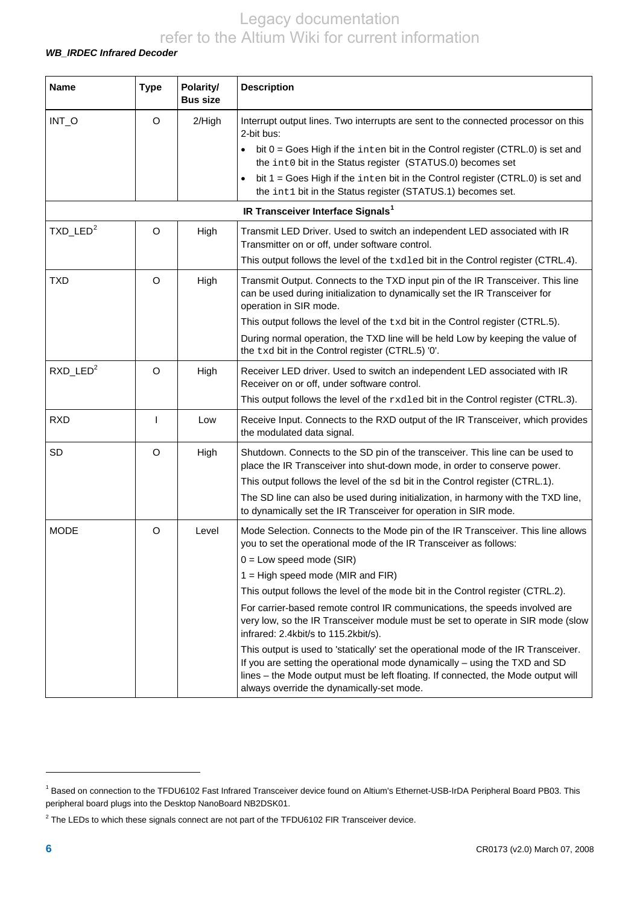#### *WB\_IRDEC Infrared Decoder*

<span id="page-5-2"></span>

| <b>Name</b>             | <b>Type</b> | Polarity/<br><b>Bus size</b> | <b>Description</b>                                                                                                                                                                                                                                                                                  |
|-------------------------|-------------|------------------------------|-----------------------------------------------------------------------------------------------------------------------------------------------------------------------------------------------------------------------------------------------------------------------------------------------------|
| INT_O                   | O           | 2/High                       | Interrupt output lines. Two interrupts are sent to the connected processor on this<br>2-bit bus:                                                                                                                                                                                                    |
|                         |             |                              | bit $0 = \text{Goes High if the inter bit in the Control register (CTRL.0) is set and$<br>$\bullet$<br>the int0 bit in the Status register (STATUS.0) becomes set                                                                                                                                   |
|                         |             |                              | bit 1 = Goes High if the inten bit in the Control register (CTRL.0) is set and<br>the int1 bit in the Status register (STATUS.1) becomes set.                                                                                                                                                       |
|                         |             |                              | IR Transceiver Interface Signals <sup>1</sup>                                                                                                                                                                                                                                                       |
| $TXD$ _LED <sup>2</sup> | O           | High                         | Transmit LED Driver. Used to switch an independent LED associated with IR<br>Transmitter on or off, under software control.                                                                                                                                                                         |
|                         |             |                              | This output follows the level of the txdled bit in the Control register (CTRL.4).                                                                                                                                                                                                                   |
| <b>TXD</b>              | $\Omega$    | High                         | Transmit Output. Connects to the TXD input pin of the IR Transceiver. This line<br>can be used during initialization to dynamically set the IR Transceiver for<br>operation in SIR mode.                                                                                                            |
|                         |             |                              | This output follows the level of the txd bit in the Control register (CTRL.5).                                                                                                                                                                                                                      |
|                         |             |                              | During normal operation, the TXD line will be held Low by keeping the value of<br>the txd bit in the Control register (CTRL.5) '0'.                                                                                                                                                                 |
| $RXD$ LED <sup>2</sup>  | $\Omega$    | High                         | Receiver LED driver. Used to switch an independent LED associated with IR<br>Receiver on or off, under software control.                                                                                                                                                                            |
|                         |             |                              | This output follows the level of the rxdled bit in the Control register (CTRL.3).                                                                                                                                                                                                                   |
| <b>RXD</b>              | T           | Low                          | Receive Input. Connects to the RXD output of the IR Transceiver, which provides<br>the modulated data signal.                                                                                                                                                                                       |
| SD                      | O           | High                         | Shutdown. Connects to the SD pin of the transceiver. This line can be used to<br>place the IR Transceiver into shut-down mode, in order to conserve power.                                                                                                                                          |
|                         |             |                              | This output follows the level of the sd bit in the Control register (CTRL.1).                                                                                                                                                                                                                       |
|                         |             |                              | The SD line can also be used during initialization, in harmony with the TXD line,<br>to dynamically set the IR Transceiver for operation in SIR mode.                                                                                                                                               |
| <b>MODE</b>             | O           | Level                        | Mode Selection. Connects to the Mode pin of the IR Transceiver. This line allows<br>you to set the operational mode of the IR Transceiver as follows:                                                                                                                                               |
|                         |             |                              | $0 = Low speed mode (SIR)$                                                                                                                                                                                                                                                                          |
|                         |             |                              | $1 =$ High speed mode (MIR and FIR)                                                                                                                                                                                                                                                                 |
|                         |             |                              | This output follows the level of the mode bit in the Control register (CTRL.2).                                                                                                                                                                                                                     |
|                         |             |                              | For carrier-based remote control IR communications, the speeds involved are<br>very low, so the IR Transceiver module must be set to operate in SIR mode (slow<br>infrared: 2.4kbit/s to 115.2kbit/s).                                                                                              |
|                         |             |                              | This output is used to 'statically' set the operational mode of the IR Transceiver.<br>If you are setting the operational mode dynamically - using the TXD and SD<br>lines - the Mode output must be left floating. If connected, the Mode output will<br>always override the dynamically-set mode. |

l

<span id="page-5-0"></span><sup>&</sup>lt;sup>1</sup> Based on connection to the TFDU6102 Fast Infrared Transceiver device found on Altium's Ethernet-USB-IrDA Peripheral Board PB03. This peripheral board plugs into the Desktop NanoBoard NB2DSK01.

<span id="page-5-1"></span> $2$  The LEDs to which these signals connect are not part of the TFDU6102 FIR Transceiver device.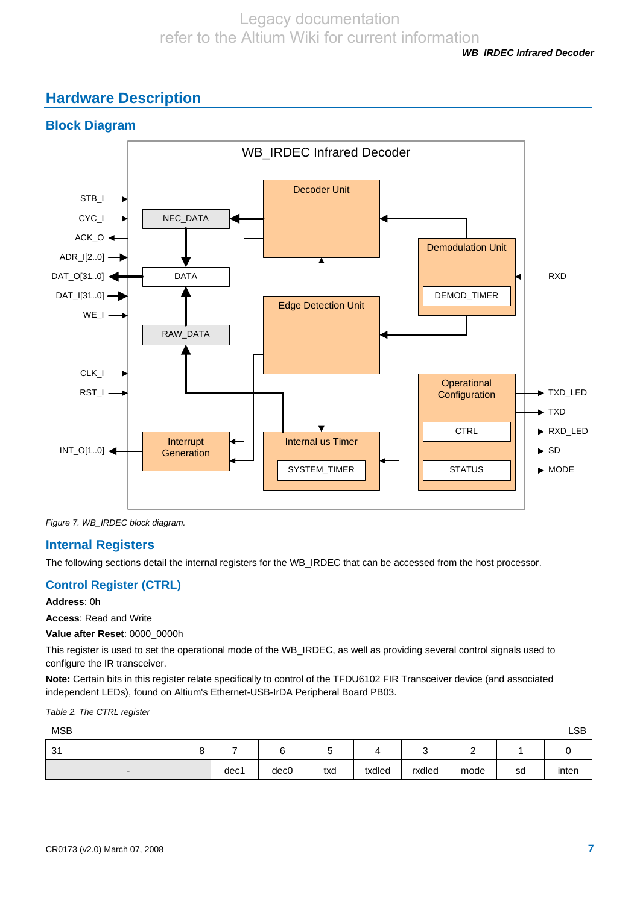*WB\_IRDEC Infrared Decoder* 

# **Hardware Description**



*Figure 7. WB\_IRDEC block diagram.* 

#### **Internal Registers**

The following sections detail the internal registers for the WB\_IRDEC that can be accessed from the host processor.

#### **Control Register (CTRL)**

**Address**: 0h

**Access**: Read and Write

**Value after Reset**: 0000\_0000h

This register is used to set the operational mode of the WB\_IRDEC, as well as providing several control signals used to configure the IR transceiver.

**Note:** Certain bits in this register relate specifically to control of the TFDU6102 FIR Transceiver device (and associated independent LEDs), found on Altium's Ethernet-USB-IrDA Peripheral Board PB03.

#### *Table 2. The CTRL register*

| <b>MSB</b>               |      |                  |     |        |        |          |    | <b>LSB</b> |
|--------------------------|------|------------------|-----|--------|--------|----------|----|------------|
| 31                       |      | $\sim$<br>U      |     |        | ີ      | <u>_</u> |    |            |
| $\overline{\phantom{0}}$ | dec1 | dec <sub>0</sub> | txd | txdled | rxdled | mode     | sd | inten      |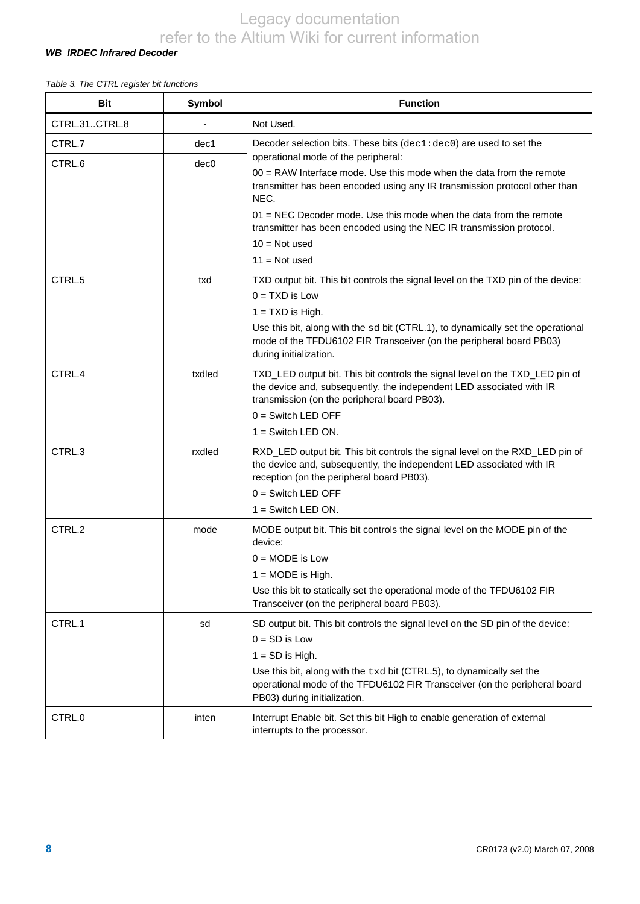#### *WB\_IRDEC Infrared Decoder*

#### *Table 3. The CTRL register bit functions*

| <b>Bit</b>       | Symbol                   | <b>Function</b>                                                                                                                                                                                                                                                                                                                                                                                                                                                 |
|------------------|--------------------------|-----------------------------------------------------------------------------------------------------------------------------------------------------------------------------------------------------------------------------------------------------------------------------------------------------------------------------------------------------------------------------------------------------------------------------------------------------------------|
| CTRL.31CTRL.8    |                          | Not Used.                                                                                                                                                                                                                                                                                                                                                                                                                                                       |
| CTRL.7<br>CTRL.6 | dec1<br>dec <sub>0</sub> | Decoder selection bits. These bits (dec1:dec0) are used to set the<br>operational mode of the peripheral:<br>$00 = RAW$ Interface mode. Use this mode when the data from the remote<br>transmitter has been encoded using any IR transmission protocol other than<br>NEC.<br>$01$ = NEC Decoder mode. Use this mode when the data from the remote<br>transmitter has been encoded using the NEC IR transmission protocol.<br>$10 = Not used$<br>$11 = Not used$ |
| CTRL.5           | txd                      | TXD output bit. This bit controls the signal level on the TXD pin of the device:<br>$0 = TXD$ is Low<br>$1 = TXD$ is High.<br>Use this bit, along with the sd bit (CTRL.1), to dynamically set the operational<br>mode of the TFDU6102 FIR Transceiver (on the peripheral board PB03)<br>during initialization.                                                                                                                                                 |
| CTRL.4           | txdled                   | TXD_LED output bit. This bit controls the signal level on the TXD_LED pin of<br>the device and, subsequently, the independent LED associated with IR<br>transmission (on the peripheral board PB03).<br>$0 =$ Switch LED OFF<br>$1 =$ Switch LED ON.                                                                                                                                                                                                            |
| CTRL.3           | rxdled                   | RXD_LED output bit. This bit controls the signal level on the RXD_LED pin of<br>the device and, subsequently, the independent LED associated with IR<br>reception (on the peripheral board PB03).<br>$0 =$ Switch LED OFF<br>$1 =$ Switch LED ON.                                                                                                                                                                                                               |
| CTRL.2           | mode                     | MODE output bit. This bit controls the signal level on the MODE pin of the<br>device:<br>$0 = \text{MODE}$ is Low<br>$1 = \text{MODE}$ is High.<br>Use this bit to statically set the operational mode of the TFDU6102 FIR<br>Transceiver (on the peripheral board PB03).                                                                                                                                                                                       |
| CTRL.1           | sd                       | SD output bit. This bit controls the signal level on the SD pin of the device:<br>$0 = SD$ is Low<br>$1 = SD$ is High.<br>Use this bit, along with the txd bit (CTRL.5), to dynamically set the<br>operational mode of the TFDU6102 FIR Transceiver (on the peripheral board<br>PB03) during initialization.                                                                                                                                                    |
| CTRL.0           | inten                    | Interrupt Enable bit. Set this bit High to enable generation of external<br>interrupts to the processor.                                                                                                                                                                                                                                                                                                                                                        |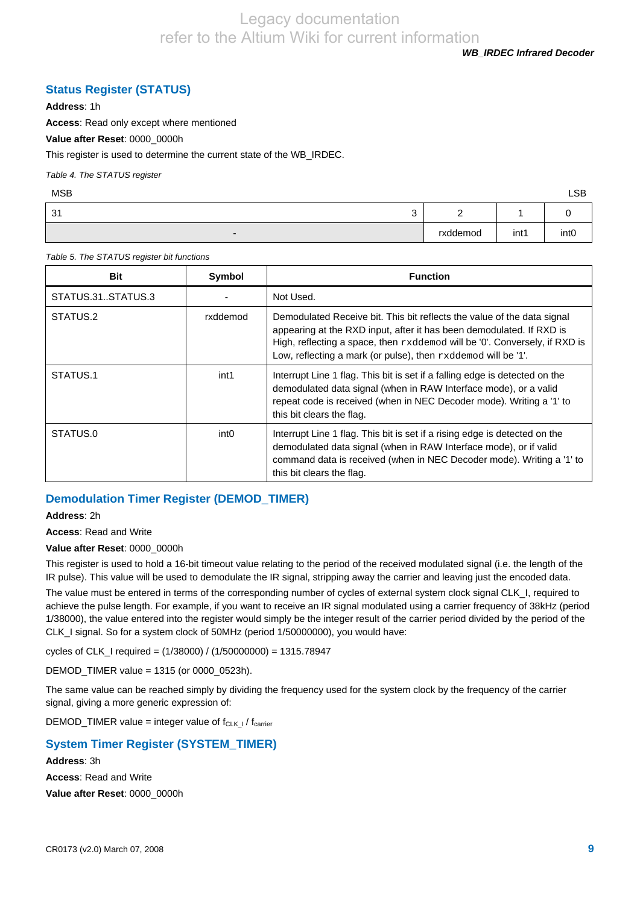*WB\_IRDEC Infrared Decoder* 

#### **Status Register (STATUS)**

**Address**: 1h

**Access**: Read only except where mentioned

**Value after Reset**: 0000\_0000h

This register is used to determine the current state of the WB\_IRDEC.

*Table 4. The STATUS register* 

| <b>MSB</b>               |          |      | <b>LSB</b>       |
|--------------------------|----------|------|------------------|
| 31<br>$\sqrt{2}$<br>ت    | -        |      |                  |
| $\overline{\phantom{a}}$ | rxddemod | int1 | int <sub>0</sub> |

*Table 5. The STATUS register bit functions* 

| <b>Bit</b>        | <b>Symbol</b>    | <b>Function</b>                                                                                                                                                                                                                                                                                |
|-------------------|------------------|------------------------------------------------------------------------------------------------------------------------------------------------------------------------------------------------------------------------------------------------------------------------------------------------|
| STATUS.31STATUS.3 |                  | Not Used.                                                                                                                                                                                                                                                                                      |
| STATUS.2          | rxddemod         | Demodulated Receive bit. This bit reflects the value of the data signal<br>appearing at the RXD input, after it has been demodulated. If RXD is<br>High, reflecting a space, then rxddemod will be '0'. Conversely, if RXD is<br>Low, reflecting a mark (or pulse), then rxddemod will be '1'. |
| STATUS.1          | int1             | Interrupt Line 1 flag. This bit is set if a falling edge is detected on the<br>demodulated data signal (when in RAW Interface mode), or a valid<br>repeat code is received (when in NEC Decoder mode). Writing a '1' to<br>this bit clears the flag.                                           |
| STATUS.0          | int <sub>0</sub> | Interrupt Line 1 flag. This bit is set if a rising edge is detected on the<br>demodulated data signal (when in RAW Interface mode), or if valid<br>command data is received (when in NEC Decoder mode). Writing a '1' to<br>this bit clears the flag.                                          |

#### **Demodulation Timer Register (DEMOD\_TIMER)**

**Address**: 2h

**Access**: Read and Write

**Value after Reset**: 0000\_0000h

This register is used to hold a 16-bit timeout value relating to the period of the received modulated signal (i.e. the length of the IR pulse). This value will be used to demodulate the IR signal, stripping away the carrier and leaving just the encoded data.

The value must be entered in terms of the corresponding number of cycles of external system clock signal CLK\_I, required to achieve the pulse length. For example, if you want to receive an IR signal modulated using a carrier frequency of 38kHz (period 1/38000), the value entered into the register would simply be the integer result of the carrier period divided by the period of the CLK\_I signal. So for a system clock of 50MHz (period 1/50000000), you would have:

cycles of CLK\_I required = (1/38000) / (1/50000000) = 1315.78947

DEMOD\_TIMER value = 1315 (or 0000\_0523h).

The same value can be reached simply by dividing the frequency used for the system clock by the frequency of the carrier signal, giving a more generic expression of:

DEMOD\_TIMER value = integer value of  $f_{CLK\_I}$  /  $f_{\text{carrier}}$ 

#### **System Timer Register (SYSTEM\_TIMER)**

**Address**: 3h **Access**: Read and Write **Value after Reset**: 0000\_0000h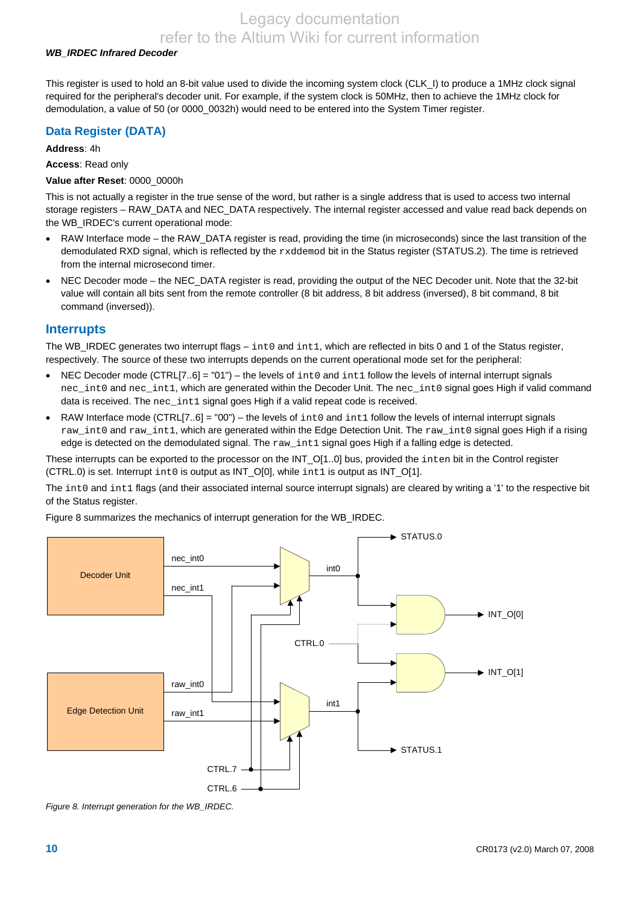#### *WB\_IRDEC Infrared Decoder*

This register is used to hold an 8-bit value used to divide the incoming system clock (CLK\_I) to produce a 1MHz clock signal required for the peripheral's decoder unit. For example, if the system clock is 50MHz, then to achieve the 1MHz clock for demodulation, a value of 50 (or 0000\_0032h) would need to be entered into the System Timer register.

#### **Data Register (DATA)**

**Address**: 4h

**Access**: Read only

#### **Value after Reset**: 0000\_0000h

This is not actually a register in the true sense of the word, but rather is a single address that is used to access two internal storage registers – RAW\_DATA and NEC\_DATA respectively. The internal register accessed and value read back depends on the WB\_IRDEC's current operational mode:

- RAW Interface mode the RAW\_DATA register is read, providing the time (in microseconds) since the last transition of the demodulated RXD signal, which is reflected by the rxddemod bit in the Status register (STATUS.2). The time is retrieved from the internal microsecond timer.
- NEC Decoder mode the NEC\_DATA register is read, providing the output of the NEC Decoder unit. Note that the 32-bit value will contain all bits sent from the remote controller (8 bit address, 8 bit address (inversed), 8 bit command, 8 bit command (inversed)).

#### **Interrupts**

The WB\_IRDEC generates two interrupt flags – int0 and int1, which are reflected in bits 0 and 1 of the Status register, respectively. The source of these two interrupts depends on the current operational mode set for the peripheral:

- NEC Decoder mode (CTRL[7..6] = "01") the levels of  $int0$  and  $int1$  follow the levels of internal interrupt signals nec\_int0 and nec\_int1, which are generated within the Decoder Unit. The nec\_int0 signal goes High if valid command data is received. The nec\_int1 signal goes High if a valid repeat code is received.
- RAW Interface mode (CTRL[7..6] = "00") the levels of  $int0$  and  $int1$  follow the levels of internal interrupt signals raw\_int0 and raw\_int1, which are generated within the Edge Detection Unit. The raw\_int0 signal goes High if a rising edge is detected on the demodulated signal. The raw\_int1 signal goes High if a falling edge is detected.

These interrupts can be exported to the processor on the INT\_O[1..0] bus, provided the inten bit in the Control register (CTRL.0) is set. Interrupt  $int \circ$  is output as INT\_O[0], while  $int1$  is output as INT\_O[1].

The int0 and int1 flags (and their associated internal source interrupt signals) are cleared by writing a '1' to the respective bit of the Status register.

Figure 8 summarizes the mechanics of interrupt generation for the WB\_IRDEC.



*Figure 8. Interrupt generation for the WB\_IRDEC.*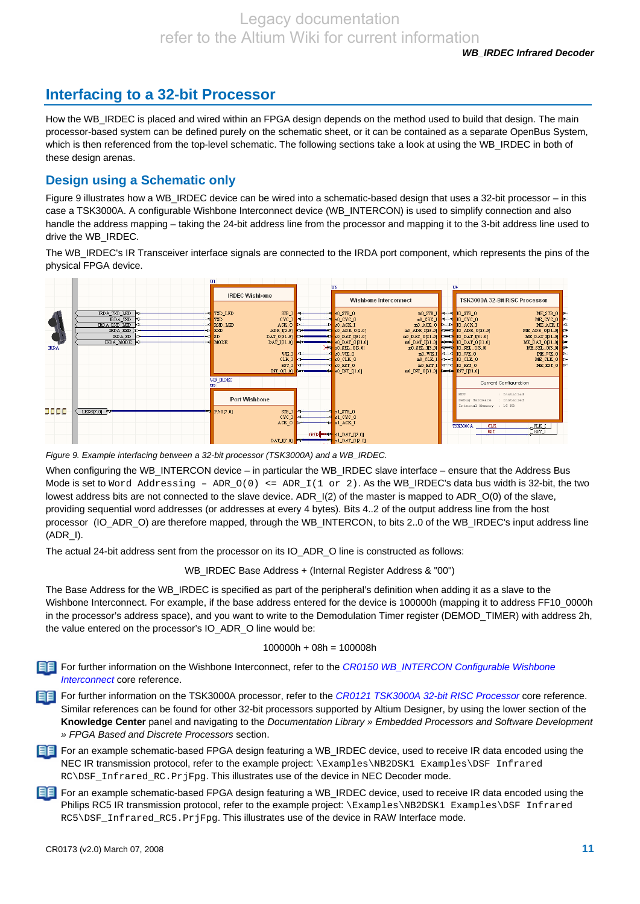# **Interfacing to a 32-bit Processor**

How the WB\_IRDEC is placed and wired within an FPGA design depends on the method used to build that design. The main processor-based system can be defined purely on the schematic sheet, or it can be contained as a separate OpenBus System, which is then referenced from the top-level schematic. The following sections take a look at using the WB\_IRDEC in both of these design arenas.

### **Design using a Schematic only**

Figure 9 illustrates how a WB\_IRDEC device can be wired into a schematic-based design that uses a 32-bit processor – in this case a TSK3000A. A configurable Wishbone Interconnect device (WB\_INTERCON) is used to simplify connection and also handle the address mapping – taking the 24-bit address line from the processor and mapping it to the 3-bit address line used to drive the WB\_IRDEC.

The WB\_IRDEC's IR Transceiver interface signals are connected to the IRDA port component, which represents the pins of the physical FPGA device.



*Figure 9. Example interfacing between a 32-bit processor (TSK3000A) and a WB\_IRDEC.* 

When configuring the WB\_INTERCON device – in particular the WB\_IRDEC slave interface – ensure that the Address Bus Mode is set to Word Addressing -  $ADR_O(0)$  <=  $ADR_I(1$  or 2). As the WB\_IRDEC's data bus width is 32-bit, the two lowest address bits are not connected to the slave device. ADR\_I(2) of the master is mapped to ADR\_O(0) of the slave, providing sequential word addresses (or addresses at every 4 bytes). Bits 4..2 of the output address line from the host processor (IO\_ADR\_O) are therefore mapped, through the WB\_INTERCON, to bits 2..0 of the WB\_IRDEC's input address line (ADR\_I).

The actual 24-bit address sent from the processor on its IO ADR O line is constructed as follows:

WB\_IRDEC Base Address + (Internal Register Address & "00")

The Base Address for the WB\_IRDEC is specified as part of the peripheral's definition when adding it as a slave to the Wishbone Interconnect. For example, if the base address entered for the device is 100000h (mapping it to address FF10\_0000h) in the processor's address space), and you want to write to the Demodulation Timer register (DEMOD\_TIMER) with address 2h, the value entered on the processor's IO\_ADR\_O line would be:

#### 100000h + 08h = 100008h

For further information on the Wishbone Interconnect, refer to the *CR0150 WB\_INTERCON Configurable Wishbone Interconnect* core reference.

For further information on the TSK3000A processor, refer to the *CR0121 TSK3000A 32-bit RISC Processor* core reference. Similar references can be found for other 32-bit processors supported by Altium Designer, by using the lower section of the **Knowledge Center** panel and navigating to the *Documentation Library » Embedded Processors and Software Development » FPGA Based and Discrete Processors* section.

**FF** For an example schematic-based FPGA design featuring a WB IRDEC device, used to receive IR data encoded using the NEC IR transmission protocol, refer to the example project: \Examples\NB2DSK1 Examples\DSF Infrared RC\DSF\_Infrared\_RC.PrjFpg. This illustrates use of the device in NEC Decoder mode.

For an example schematic-based FPGA design featuring a WB\_IRDEC device, used to receive IR data encoded using the Philips RC5 IR transmission protocol, refer to the example project: \Examples\NB2DSK1 Examples\DSF Infrared RC5\DSF\_Infrared\_RC5.PrjFpg. This illustrates use of the device in RAW Interface mode.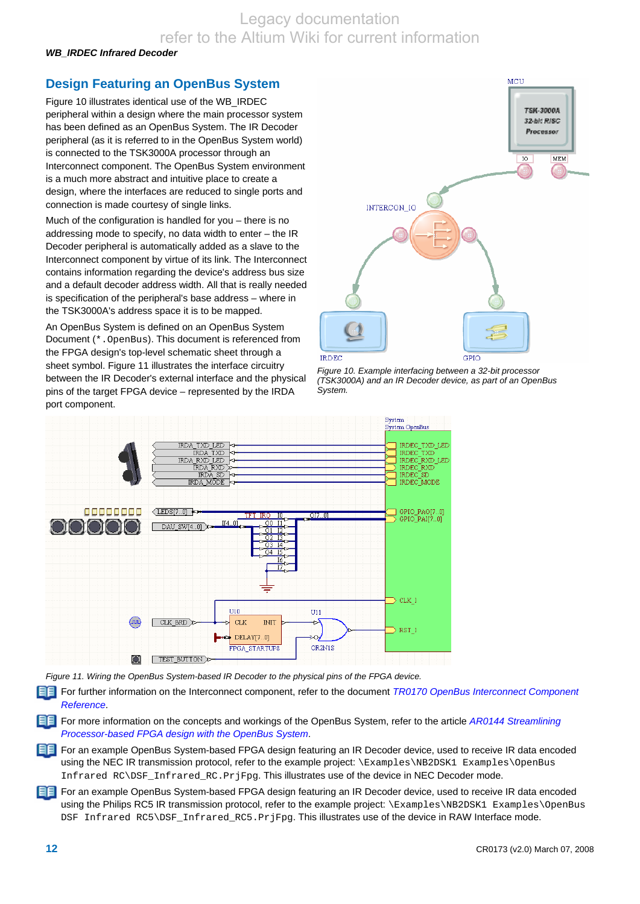*WB\_IRDEC Infrared Decoder* 

# **Design Featuring an OpenBus System**

Figure 10 illustrates identical use of the WB\_IRDEC peripheral within a design where the main processor system has been defined as an OpenBus System. The IR Decoder peripheral (as it is referred to in the OpenBus System world) is connected to the TSK3000A processor through an Interconnect component. The OpenBus System environment is a much more abstract and intuitive place to create a design, where the interfaces are reduced to single ports and connection is made courtesy of single links.

Much of the configuration is handled for you – there is no addressing mode to specify, no data width to enter – the IR Decoder peripheral is automatically added as a slave to the Interconnect component by virtue of its link. The Interconnect contains information regarding the device's address bus size and a default decoder address width. All that is really needed is specification of the peripheral's base address – where in the TSK3000A's address space it is to be mapped.

An OpenBus System is defined on an OpenBus System Document (\*.OpenBus). This document is referenced from the FPGA design's top-level schematic sheet through a sheet symbol. Figure 11 illustrates the interface circuitry between the IR Decoder's external interface and the physical pins of the target FPGA device – represented by the IRDA port component.



*Figure 10. Example interfacing between a 32-bit processor (TSK3000A) and an IR Decoder device, as part of an OpenBus System.* 



*Figure 11. Wiring the OpenBus System-based IR Decoder to the physical pins of the FPGA device.* 

For further information on the Interconnect component, refer to the document *TR0170 OpenBus Interconnect Component Reference*.

For more information on the concepts and workings of the OpenBus System, refer to the article *AR0144 Streamlining Processor-based FPGA design with the OpenBus System*.

**FF** For an example OpenBus System-based FPGA design featuring an IR Decoder device, used to receive IR data encoded using the NEC IR transmission protocol, refer to the example project: \Examples\NB2DSK1 Examples\OpenBus Infrared RC\DSF\_Infrared\_RC.PrjFpg. This illustrates use of the device in NEC Decoder mode.

For an example OpenBus System-based FPGA design featuring an IR Decoder device, used to receive IR data encoded using the Philips RC5 IR transmission protocol, refer to the example project: \Examples\NB2DSK1 Examples\OpenBus DSF Infrared RC5\DSF Infrared RC5.PrjFpg. This illustrates use of the device in RAW Interface mode.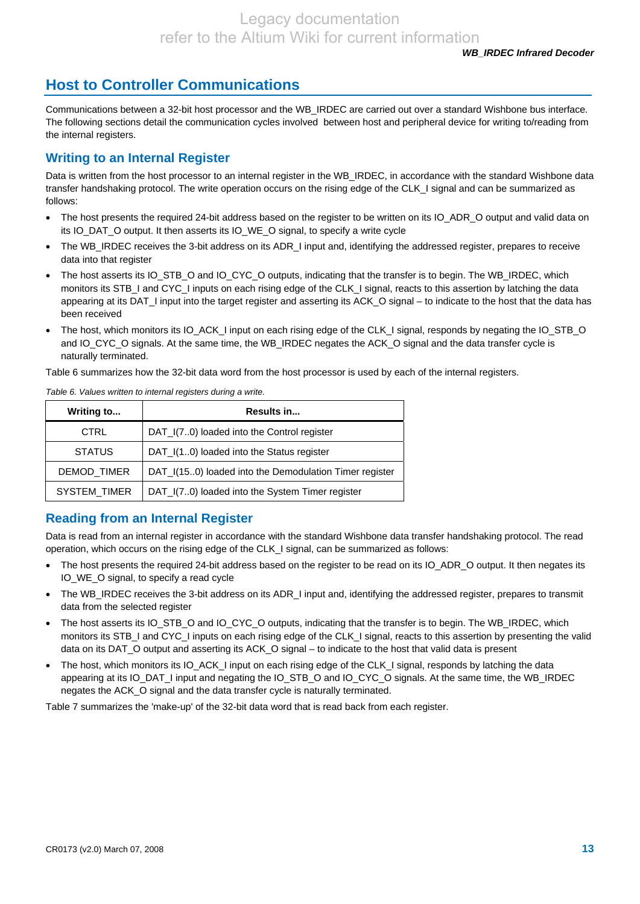# **Host to Controller Communications**

Communications between a 32-bit host processor and the WB\_IRDEC are carried out over a standard Wishbone bus interface. The following sections detail the communication cycles involved between host and peripheral device for writing to/reading from the internal registers.

### **Writing to an Internal Register**

Data is written from the host processor to an internal register in the WB\_IRDEC, in accordance with the standard Wishbone data transfer handshaking protocol. The write operation occurs on the rising edge of the CLK\_I signal and can be summarized as follows:

- The host presents the required 24-bit address based on the register to be written on its IO\_ADR\_O output and valid data on its IO\_DAT\_O output. It then asserts its IO\_WE\_O signal, to specify a write cycle
- The WB\_IRDEC receives the 3-bit address on its ADR\_I input and, identifying the addressed register, prepares to receive data into that register
- The host asserts its IO\_STB\_O and IO\_CYC\_O outputs, indicating that the transfer is to begin. The WB\_IRDEC, which monitors its STB\_I and CYC\_I inputs on each rising edge of the CLK\_I signal, reacts to this assertion by latching the data appearing at its DAT\_I input into the target register and asserting its ACK\_O signal – to indicate to the host that the data has been received
- The host, which monitors its IO\_ACK\_I input on each rising edge of the CLK\_I signal, responds by negating the IO\_STB\_O and IO\_CYC\_O signals. At the same time, the WB\_IRDEC negates the ACK\_O signal and the data transfer cycle is naturally terminated.

Table 6 summarizes how the 32-bit data word from the host processor is used by each of the internal registers.

| Writing to          | Results in                                             |
|---------------------|--------------------------------------------------------|
| <b>CTRL</b>         | DAT_I(70) loaded into the Control register             |
| <b>STATUS</b>       | DAT_I(10) loaded into the Status register              |
| DEMOD_TIMER         | DAT_I(150) loaded into the Demodulation Timer register |
| <b>SYSTEM TIMER</b> | DAT_I(70) loaded into the System Timer register        |

*Table 6. Values written to internal registers during a write.* 

### **Reading from an Internal Register**

Data is read from an internal register in accordance with the standard Wishbone data transfer handshaking protocol. The read operation, which occurs on the rising edge of the CLK\_I signal, can be summarized as follows:

- The host presents the required 24-bit address based on the register to be read on its IO\_ADR\_O output. It then negates its IO\_WE\_O signal, to specify a read cycle
- The WB\_IRDEC receives the 3-bit address on its ADR\_I input and, identifying the addressed register, prepares to transmit data from the selected register
- The host asserts its IO\_STB\_O and IO\_CYC\_O outputs, indicating that the transfer is to begin. The WB\_IRDEC, which monitors its STB I and CYC I inputs on each rising edge of the CLK I signal, reacts to this assertion by presenting the valid data on its DAT\_O output and asserting its ACK\_O signal – to indicate to the host that valid data is present
- The host, which monitors its IO\_ACK\_I input on each rising edge of the CLK\_I signal, responds by latching the data appearing at its IO\_DAT\_I input and negating the IO\_STB\_O and IO\_CYC\_O signals. At the same time, the WB\_IRDEC negates the ACK\_O signal and the data transfer cycle is naturally terminated.

Table 7 summarizes the 'make-up' of the 32-bit data word that is read back from each register.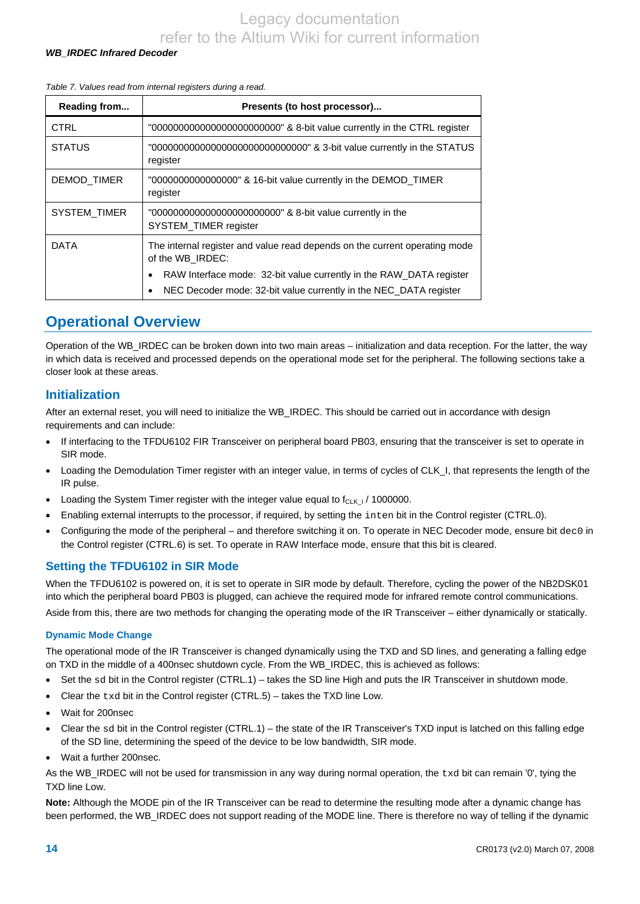#### *WB\_IRDEC Infrared Decoder*

#### *Table 7. Values read from internal registers during a read.*

| Reading from  | Presents (to host processor)                                                                   |
|---------------|------------------------------------------------------------------------------------------------|
| <b>CTRL</b>   | "0000000000000000000000000" & 8-bit value currently in the CTRL register                       |
| <b>STATUS</b> | "0000000000000000000000000000000" & 3-bit value currently in the STATUS<br>register            |
| DEMOD_TIMER   | "00000000000000000" & 16-bit value currently in the DEMOD TIMER<br>register                    |
| SYSTEM_TIMER  | "00000000000000000000000000" & 8-bit value currently in the<br><b>SYSTEM TIMER register</b>    |
| <b>DATA</b>   | The internal register and value read depends on the current operating mode<br>of the WB IRDEC: |
|               | RAW Interface mode: 32-bit value currently in the RAW DATA register                            |
|               | NEC Decoder mode: 32-bit value currently in the NEC_DATA register                              |

# **Operational Overview**

Operation of the WB\_IRDEC can be broken down into two main areas – initialization and data reception. For the latter, the way in which data is received and processed depends on the operational mode set for the peripheral. The following sections take a closer look at these areas.

#### **Initialization**

After an external reset, you will need to initialize the WB\_IRDEC. This should be carried out in accordance with design requirements and can include:

- If interfacing to the TFDU6102 FIR Transceiver on peripheral board PB03, ensuring that the transceiver is set to operate in SIR mode.
- Loading the Demodulation Timer register with an integer value, in terms of cycles of CLK\_I, that represents the length of the IR pulse.
- Loading the System Timer register with the integer value equal to  $f_{CLK+1}$  / 1000000.
- Enabling external interrupts to the processor, if required, by setting the inten bit in the Control register (CTRL.0).
- Configuring the mode of the peripheral and therefore switching it on. To operate in NEC Decoder mode, ensure bit dec0 in the Control register (CTRL.6) is set. To operate in RAW Interface mode, ensure that this bit is cleared.

#### **Setting the TFDU6102 in SIR Mode**

When the TFDU6102 is powered on, it is set to operate in SIR mode by default. Therefore, cycling the power of the NB2DSK01 into which the peripheral board PB03 is plugged, can achieve the required mode for infrared remote control communications. Aside from this, there are two methods for changing the operating mode of the IR Transceiver – either dynamically or statically.

#### **Dynamic Mode Change**

The operational mode of the IR Transceiver is changed dynamically using the TXD and SD lines, and generating a falling edge on TXD in the middle of a 400nsec shutdown cycle. From the WB\_IRDEC, this is achieved as follows:

- Set the sd bit in the Control register (CTRL.1) takes the SD line High and puts the IR Transceiver in shutdown mode.
- Clear the  $txd$  bit in the Control register (CTRL.5) takes the TXD line Low.
- Wait for 200nsec
- Clear the sd bit in the Control register (CTRL.1) the state of the IR Transceiver's TXD input is latched on this falling edge of the SD line, determining the speed of the device to be low bandwidth, SIR mode.
- Wait a further 200nsec.

As the WB\_IRDEC will not be used for transmission in any way during normal operation, the txd bit can remain '0', tying the TXD line Low.

**Note:** Although the MODE pin of the IR Transceiver can be read to determine the resulting mode after a dynamic change has been performed, the WB\_IRDEC does not support reading of the MODE line. There is therefore no way of telling if the dynamic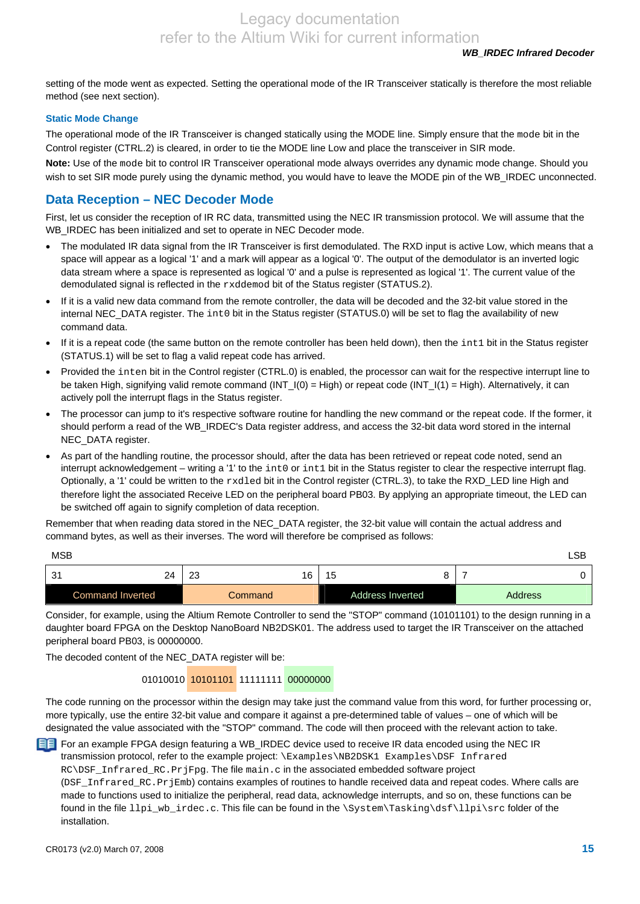setting of the mode went as expected. Setting the operational mode of the IR Transceiver statically is therefore the most reliable method (see next section).

#### **Static Mode Change**

The operational mode of the IR Transceiver is changed statically using the MODE line. Simply ensure that the mode bit in the Control register (CTRL.2) is cleared, in order to tie the MODE line Low and place the transceiver in SIR mode.

**Note:** Use of the mode bit to control IR Transceiver operational mode always overrides any dynamic mode change. Should you wish to set SIR mode purely using the dynamic method, you would have to leave the MODE pin of the WB\_IRDEC unconnected.

### **Data Reception – NEC Decoder Mode**

First, let us consider the reception of IR RC data, transmitted using the NEC IR transmission protocol. We will assume that the WB\_IRDEC has been initialized and set to operate in NEC Decoder mode.

- The modulated IR data signal from the IR Transceiver is first demodulated. The RXD input is active Low, which means that a space will appear as a logical '1' and a mark will appear as a logical '0'. The output of the demodulator is an inverted logic data stream where a space is represented as logical '0' and a pulse is represented as logical '1'. The current value of the demodulated signal is reflected in the rxddemod bit of the Status register (STATUS.2).
- If it is a valid new data command from the remote controller, the data will be decoded and the 32-bit value stored in the internal NEC\_DATA register. The int0 bit in the Status register (STATUS.0) will be set to flag the availability of new command data.
- If it is a repeat code (the same button on the remote controller has been held down), then the int1 bit in the Status register (STATUS.1) will be set to flag a valid repeat code has arrived.
- Provided the inten bit in the Control register (CTRL.0) is enabled, the processor can wait for the respective interrupt line to be taken High, signifying valid remote command (INT\_I(0) = High) or repeat code (INT\_I(1) = High). Alternatively, it can actively poll the interrupt flags in the Status register.
- The processor can jump to it's respective software routine for handling the new command or the repeat code. If the former, it should perform a read of the WB\_IRDEC's Data register address, and access the 32-bit data word stored in the internal NEC\_DATA register.
- As part of the handling routine, the processor should, after the data has been retrieved or repeat code noted, send an interrupt acknowledgement – writing a '1' to the int0 or int1 bit in the Status register to clear the respective interrupt flag. Optionally, a '1' could be written to the rxdled bit in the Control register (CTRL.3), to take the RXD\_LED line High and therefore light the associated Receive LED on the peripheral board PB03. By applying an appropriate timeout, the LED can be switched off again to signify completion of data reception.

Remember that when reading data stored in the NEC\_DATA register, the 32-bit value will contain the actual address and command bytes, as well as their inverses. The word will therefore be comprised as follows:

| <b>MSB</b>              |          |                         | LSB            |
|-------------------------|----------|-------------------------|----------------|
| 3 <sup>1</sup><br>24    | 23<br>16 | 15<br>c                 |                |
| <b>Command Inverted</b> | Command  | <b>Address Inverted</b> | <b>Address</b> |

Consider, for example, using the Altium Remote Controller to send the "STOP" command (10101101) to the design running in a daughter board FPGA on the Desktop NanoBoard NB2DSK01. The address used to target the IR Transceiver on the attached peripheral board PB03, is 00000000.

The decoded content of the NEC\_DATA register will be:

### 01010010 10101101 11111111 00000000

The code running on the processor within the design may take just the command value from this word, for further processing or, more typically, use the entire 32-bit value and compare it against a pre-determined table of values – one of which will be designated the value associated with the "STOP" command. The code will then proceed with the relevant action to take.

For an example FPGA design featuring a WB\_IRDEC device used to receive IR data encoded using the NEC IR transmission protocol, refer to the example project: \Examples\NB2DSK1 Examples\DSF Infrared RC\DSF\_Infrared\_RC.PrjFpg. The file main.c in the associated embedded software project (DSF\_Infrared\_RC.PrjEmb) contains examples of routines to handle received data and repeat codes. Where calls are made to functions used to initialize the peripheral, read data, acknowledge interrupts, and so on, these functions can be found in the file llpi\_wb\_irdec.c. This file can be found in the \System\Tasking\dsf\llpi\src folder of the installation.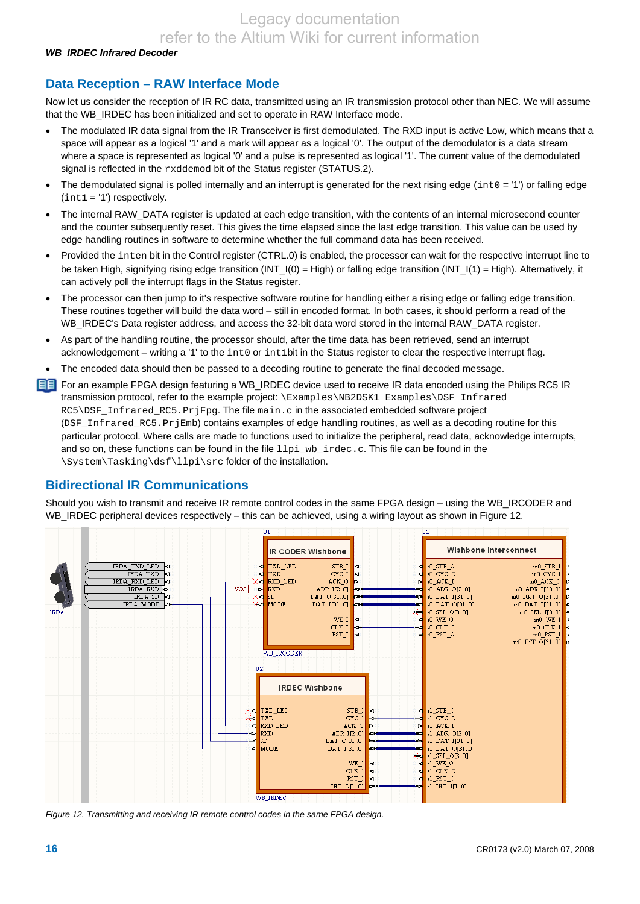*WB\_IRDEC Infrared Decoder* 

### **Data Reception – RAW Interface Mode**

Now let us consider the reception of IR RC data, transmitted using an IR transmission protocol other than NEC. We will assume that the WB\_IRDEC has been initialized and set to operate in RAW Interface mode.

- The modulated IR data signal from the IR Transceiver is first demodulated. The RXD input is active Low, which means that a space will appear as a logical '1' and a mark will appear as a logical '0'. The output of the demodulator is a data stream where a space is represented as logical '0' and a pulse is represented as logical '1'. The current value of the demodulated signal is reflected in the rxddemod bit of the Status register (STATUS.2).
- The demodulated signal is polled internally and an interrupt is generated for the next rising edge ( $int0 = '1'$ ) or falling edge  $(int1 = '1')$  respectively.
- The internal RAW DATA register is updated at each edge transition, with the contents of an internal microsecond counter and the counter subsequently reset. This gives the time elapsed since the last edge transition. This value can be used by edge handling routines in software to determine whether the full command data has been received.
- Provided the inten bit in the Control register (CTRL.0) is enabled, the processor can wait for the respective interrupt line to be taken High, signifying rising edge transition (INT\_I(0) = High) or falling edge transition (INT\_I(1) = High). Alternatively, it can actively poll the interrupt flags in the Status register.
- The processor can then jump to it's respective software routine for handling either a rising edge or falling edge transition. These routines together will build the data word – still in encoded format. In both cases, it should perform a read of the WB\_IRDEC's Data register address, and access the 32-bit data word stored in the internal RAW\_DATA register.
- As part of the handling routine, the processor should, after the time data has been retrieved, send an interrupt acknowledgement – writing a '1' to the int0 or int1bit in the Status register to clear the respective interrupt flag.
- The encoded data should then be passed to a decoding routine to generate the final decoded message.
- **FF** For an example FPGA design featuring a WB\_IRDEC device used to receive IR data encoded using the Philips RC5 IR transmission protocol, refer to the example project: \Examples\NB2DSK1 Examples\DSF Infrared RC5\DSF\_Infrared\_RC5.PrjFpg. The file main.c in the associated embedded software project (DSF\_Infrared\_RC5.PrjEmb) contains examples of edge handling routines, as well as a decoding routine for this particular protocol. Where calls are made to functions used to initialize the peripheral, read data, acknowledge interrupts, and so on, these functions can be found in the file  $11pi_wb$  indec.c. This file can be found in the \System\Tasking\dsf\llpi\src folder of the installation.

### **Bidirectional IR Communications**

Should you wish to transmit and receive IR remote control codes in the same FPGA design – using the WB\_IRCODER and WB\_IRDEC peripheral devices respectively – this can be achieved, using a wiring layout as shown in Figure 12.



*Figure 12. Transmitting and receiving IR remote control codes in the same FPGA design.*